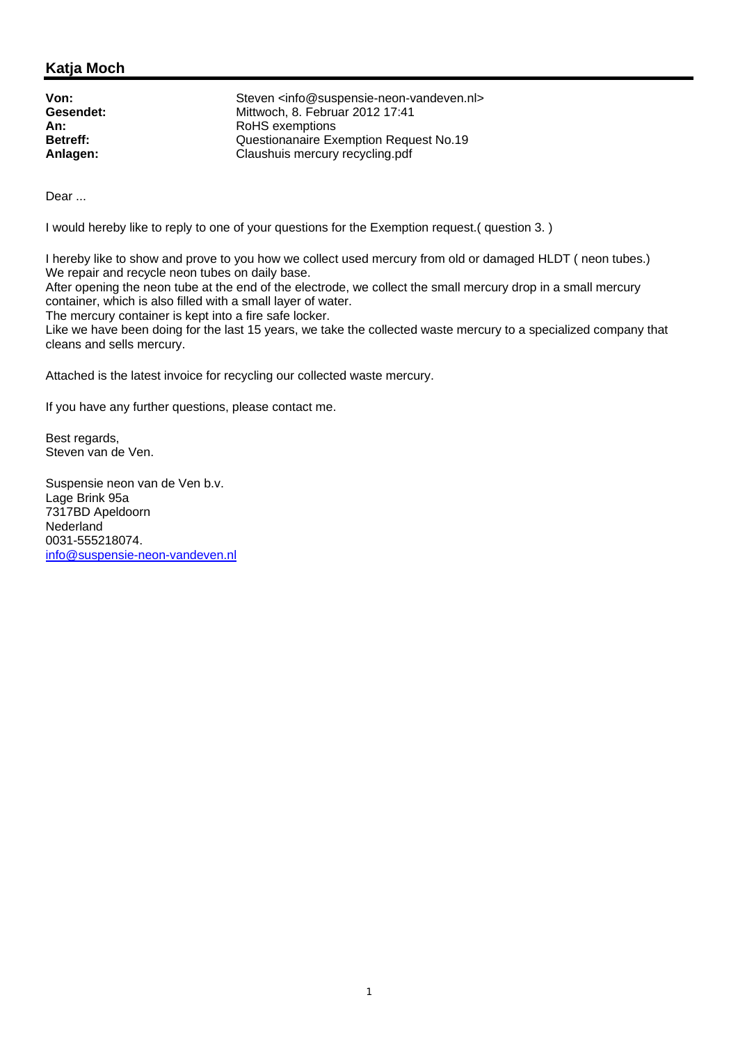## **Katja Moch**

| Von:            | Steven <info@suspensie-neon-vandeven.nl></info@suspensie-neon-vandeven.nl> |
|-----------------|----------------------------------------------------------------------------|
| Gesendet:       | Mittwoch, 8. Februar 2012 17:41                                            |
| An:             | RoHS exemptions                                                            |
| <b>Betreff:</b> | Questionanaire Exemption Request No.19                                     |
| Anlagen:        | Claushuis mercury recycling.pdf                                            |

Dear ...

I would hereby like to reply to one of your questions for the Exemption request.( question 3. )

I hereby like to show and prove to you how we collect used mercury from old or damaged HLDT ( neon tubes.) We repair and recycle neon tubes on daily base.

After opening the neon tube at the end of the electrode, we collect the small mercury drop in a small mercury container, which is also filled with a small layer of water.

The mercury container is kept into a fire safe locker.

Like we have been doing for the last 15 years, we take the collected waste mercury to a specialized company that cleans and sells mercury.

Attached is the latest invoice for recycling our collected waste mercury.

If you have any further questions, please contact me.

Best regards, Steven van de Ven.

Suspensie neon van de Ven b.v. Lage Brink 95a 7317BD Apeldoorn **Nederland** 0031-555218074. info@suspensie-neon-vandeven.nl